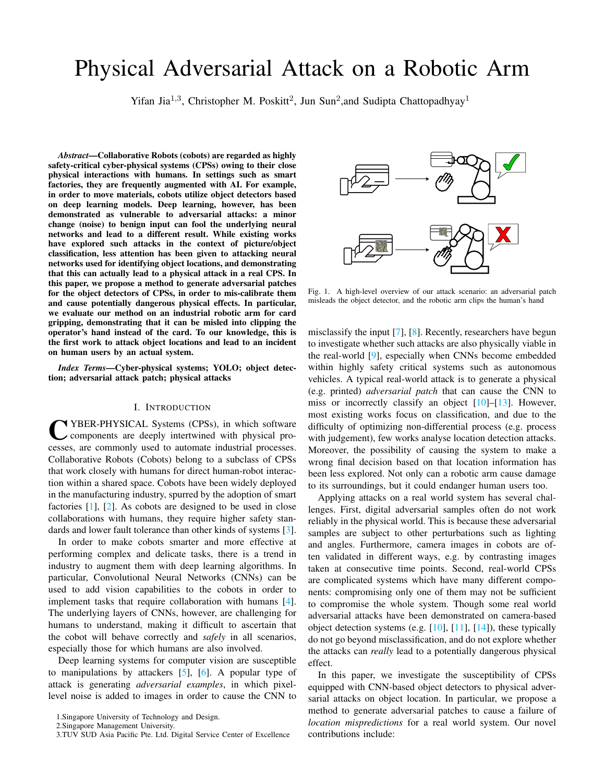# Physical Adversarial Attack on a Robotic Arm

Yifan Jia<sup>1,3</sup>, Christopher M. Poskitt<sup>2</sup>, Jun Sun<sup>2</sup>, and Sudipta Chattopadhyay<sup>1</sup>

*Abstract*—Collaborative Robots (cobots) are regarded as highly safety-critical cyber-physical systems (CPSs) owing to their close physical interactions with humans. In settings such as smart factories, they are frequently augmented with AI. For example, in order to move materials, cobots utilize object detectors based on deep learning models. Deep learning, however, has been demonstrated as vulnerable to adversarial attacks: a minor change (noise) to benign input can fool the underlying neural networks and lead to a different result. While existing works have explored such attacks in the context of picture/object classification, less attention has been given to attacking neural networks used for identifying object locations, and demonstrating that this can actually lead to a physical attack in a real CPS. In this paper, we propose a method to generate adversarial patches for the object detectors of CPSs, in order to mis-calibrate them and cause potentially dangerous physical effects. In particular, we evaluate our method on an industrial robotic arm for card gripping, demonstrating that it can be misled into clipping the operator's hand instead of the card. To our knowledge, this is the first work to attack object locations and lead to an incident on human users by an actual system.

*Index Terms*—Cyber-physical systems; YOLO; object detection; adversarial attack patch; physical attacks

## I. INTRODUCTION

**CENSER-PHYSICAL Systems (CPSs), in which software components are deeply intertwined with physical processes, are commonly used to automate industrial processes.** YBER-PHYSICAL Systems (CPSs), in which software components are deeply intertwined with physical pro-Collaborative Robots (Cobots) belong to a subclass of CPSs that work closely with humans for direct human-robot interaction within a shared space. Cobots have been widely deployed in the manufacturing industry, spurred by the adoption of smart factories [\[1\]](#page-7-0), [\[2\]](#page-7-1). As cobots are designed to be used in close collaborations with humans, they require higher safety standards and lower fault tolerance than other kinds of systems [\[3\]](#page-7-2).

In order to make cobots smarter and more effective at performing complex and delicate tasks, there is a trend in industry to augment them with deep learning algorithms. In particular, Convolutional Neural Networks (CNNs) can be used to add vision capabilities to the cobots in order to implement tasks that require collaboration with humans [\[4\]](#page-7-3). The underlying layers of CNNs, however, are challenging for humans to understand, making it difficult to ascertain that the cobot will behave correctly and *safely* in all scenarios, especially those for which humans are also involved.

Deep learning systems for computer vision are susceptible to manipulations by attackers  $[5]$ ,  $[6]$ . A popular type of attack is generating *adversarial examples*, in which pixellevel noise is added to images in order to cause the CNN to



<span id="page-0-0"></span>Fig. 1. A high-level overview of our attack scenario: an adversarial patch misleads the object detector, and the robotic arm clips the human's hand

misclassify the input [\[7\]](#page-7-6), [\[8\]](#page-7-7). Recently, researchers have begun to investigate whether such attacks are also physically viable in the real-world [\[9\]](#page-7-8), especially when CNNs become embedded within highly safety critical systems such as autonomous vehicles. A typical real-world attack is to generate a physical (e.g. printed) *adversarial patch* that can cause the CNN to miss or incorrectly classify an object [\[10\]](#page-7-9)–[\[13\]](#page-7-10). However, most existing works focus on classification, and due to the difficulty of optimizing non-differential process (e.g. process with judgement), few works analyse location detection attacks. Moreover, the possibility of causing the system to make a wrong final decision based on that location information has been less explored. Not only can a robotic arm cause damage to its surroundings, but it could endanger human users too.

Applying attacks on a real world system has several challenges. First, digital adversarial samples often do not work reliably in the physical world. This is because these adversarial samples are subject to other perturbations such as lighting and angles. Furthermore, camera images in cobots are often validated in different ways, e.g. by contrasting images taken at consecutive time points. Second, real-world CPSs are complicated systems which have many different components: compromising only one of them may not be sufficient to compromise the whole system. Though some real world adversarial attacks have been demonstrated on camera-based object detection systems (e.g. [\[10\]](#page-7-9), [\[11\]](#page-7-11), [\[14\]](#page-7-12)), these typically do not go beyond misclassification, and do not explore whether the attacks can *really* lead to a potentially dangerous physical effect.

In this paper, we investigate the susceptibility of CPSs equipped with CNN-based object detectors to physical adversarial attacks on object location. In particular, we propose a method to generate adversarial patches to cause a failure of *location mispredictions* for a real world system. Our novel contributions include:

<sup>1.</sup>Singapore University of Technology and Design.

<sup>2.</sup>Singapore Management University.

<sup>3.</sup>TUV SUD Asia Pacific Pte. Ltd. Digital Service Center of Excellence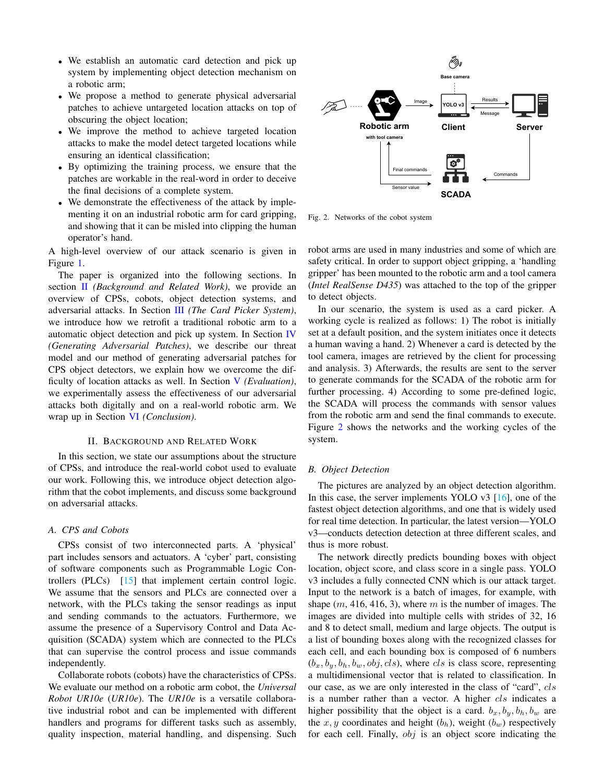- We establish an automatic card detection and pick up system by implementing object detection mechanism on a robotic arm;
- We propose a method to generate physical adversarial patches to achieve untargeted location attacks on top of obscuring the object location;
- We improve the method to achieve targeted location attacks to make the model detect targeted locations while ensuring an identical classification;
- By optimizing the training process, we ensure that the patches are workable in the real-word in order to deceive the final decisions of a complete system.
- We demonstrate the effectiveness of the attack by implementing it on an industrial robotic arm for card gripping, and showing that it can be misled into clipping the human operator's hand.

A high-level overview of our attack scenario is given in Figure [1.](#page-0-0)

The paper is organized into the following sections. In section [II](#page-1-0) *(Background and Related Work)*, we provide an overview of CPSs, cobots, object detection systems, and adversarial attacks. In Section [III](#page-2-0) *(The Card Picker System)*, we introduce how we retrofit a traditional robotic arm to a automatic object detection and pick up system. In Section [IV](#page-3-0) *(Generating Adversarial Patches)*, we describe our threat model and our method of generating adversarial patches for CPS object detectors, we explain how we overcome the difficulty of location attacks as well. In Section [V](#page-5-0) *(Evaluation)*, we experimentally assess the effectiveness of our adversarial attacks both digitally and on a real-world robotic arm. We wrap up in Section [VI](#page-7-13) *(Conclusion)*.

## II. BACKGROUND AND RELATED WORK

<span id="page-1-0"></span>In this section, we state our assumptions about the structure of CPSs, and introduce the real-world cobot used to evaluate our work. Following this, we introduce object detection algorithm that the cobot implements, and discuss some background on adversarial attacks.

## *A. CPS and Cobots*

CPSs consist of two interconnected parts. A 'physical' part includes sensors and actuators. A 'cyber' part, consisting of software components such as Programmable Logic Controllers (PLCs) [\[15\]](#page-7-14) that implement certain control logic. We assume that the sensors and PLCs are connected over a network, with the PLCs taking the sensor readings as input and sending commands to the actuators. Furthermore, we assume the presence of a Supervisory Control and Data Acquisition (SCADA) system which are connected to the PLCs that can supervise the control process and issue commands independently.

Collaborate robots (cobots) have the characteristics of CPSs. We evaluate our method on a robotic arm cobot, the *Universal Robot UR10e* (*UR10e*). The *UR10e* is a versatile collaborative industrial robot and can be implemented with different handlers and programs for different tasks such as assembly, quality inspection, material handling, and dispensing. Such



<span id="page-1-1"></span>Fig. 2. Networks of the cobot system

robot arms are used in many industries and some of which are safety critical. In order to support object gripping, a 'handling gripper' has been mounted to the robotic arm and a tool camera (*Intel RealSense D435*) was attached to the top of the gripper to detect objects.

In our scenario, the system is used as a card picker. A working cycle is realized as follows: 1) The robot is initially set at a default position, and the system initiates once it detects a human waving a hand. 2) Whenever a card is detected by the tool camera, images are retrieved by the client for processing and analysis. 3) Afterwards, the results are sent to the server to generate commands for the SCADA of the robotic arm for further processing. 4) According to some pre-defined logic, the SCADA will process the commands with sensor values from the robotic arm and send the final commands to execute. Figure [2](#page-1-1) shows the networks and the working cycles of the system.

### <span id="page-1-2"></span>*B. Object Detection*

The pictures are analyzed by an object detection algorithm. In this case, the server implements YOLO v3 [\[16\]](#page-7-15), one of the fastest object detection algorithms, and one that is widely used for real time detection. In particular, the latest version—YOLO v3—conducts detection detection at three different scales, and thus is more robust.

The network directly predicts bounding boxes with object location, object score, and class score in a single pass. YOLO v3 includes a fully connected CNN which is our attack target. Input to the network is a batch of images, for example, with shape  $(m, 416, 416, 3)$ , where m is the number of images. The images are divided into multiple cells with strides of 32, 16 and 8 to detect small, medium and large objects. The output is a list of bounding boxes along with the recognized classes for each cell, and each bounding box is composed of 6 numbers  $(b_x, b_y, b_h, b_w, obj, cls)$ , where *cls* is class score, representing a multidimensional vector that is related to classification. In our case, as we are only interested in the class of "card", cls is a number rather than a vector. A higher *cls* indicates a higher possibility that the object is a card.  $b_x, b_y, b_h, b_w$  are the  $x, y$  coordinates and height  $(b_h)$ , weight  $(b_w)$  respectively for each cell. Finally, obj is an object score indicating the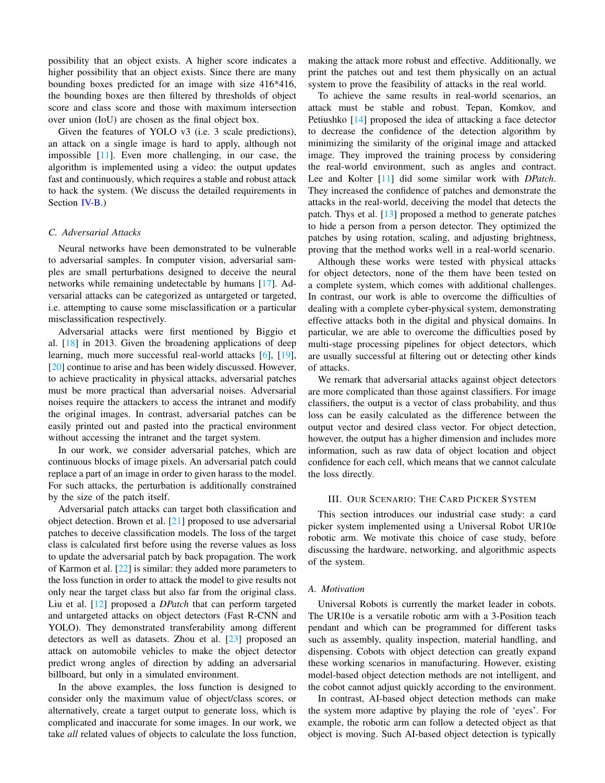possibility that an object exists. A higher score indicates a higher possibility that an object exists. Since there are many bounding boxes predicted for an image with size 416\*416, the bounding boxes are then filtered by thresholds of object score and class score and those with maximum intersection over union (IoU) are chosen as the final object box.

Given the features of YOLO v3 (i.e. 3 scale predictions), an attack on a single image is hard to apply, although not impossible [\[11\]](#page-7-11). Even more challenging, in our case, the algorithm is implemented using a video: the output updates fast and continuously, which requires a stable and robust attack to hack the system. (We discuss the detailed requirements in Section [IV-B.](#page-3-1))

## *C. Adversarial Attacks*

Neural networks have been demonstrated to be vulnerable to adversarial samples. In computer vision, adversarial samples are small perturbations designed to deceive the neural networks while remaining undetectable by humans [\[17\]](#page-7-16). Adversarial attacks can be categorized as untargeted or targeted, i.e. attempting to cause some misclassification or a particular misclassification respectively.

Adversarial attacks were first mentioned by Biggio et al. [\[18\]](#page-7-17) in 2013. Given the broadening applications of deep learning, much more successful real-world attacks [\[6\]](#page-7-5), [\[19\]](#page-7-18), [\[20\]](#page-7-19) continue to arise and has been widely discussed. However, to achieve practicality in physical attacks, adversarial patches must be more practical than adversarial noises. Adversarial noises require the attackers to access the intranet and modify the original images. In contrast, adversarial patches can be easily printed out and pasted into the practical environment without accessing the intranet and the target system.

In our work, we consider adversarial patches, which are continuous blocks of image pixels. An adversarial patch could replace a part of an image in order to given harass to the model. For such attacks, the perturbation is additionally constrained by the size of the patch itself.

Adversarial patch attacks can target both classification and object detection. Brown et al. [\[21\]](#page-7-20) proposed to use adversarial patches to deceive classification models. The loss of the target class is calculated first before using the reverse values as loss to update the adversarial patch by back propagation. The work of Karmon et al. [\[22\]](#page-7-21) is similar: they added more parameters to the loss function in order to attack the model to give results not only near the target class but also far from the original class. Liu et al. [\[12\]](#page-7-22) proposed a *DPatch* that can perform targeted and untargeted attacks on object detectors (Fast R-CNN and YOLO). They demonstrated transferability among different detectors as well as datasets. Zhou et al. [\[23\]](#page-7-23) proposed an attack on automobile vehicles to make the object detector predict wrong angles of direction by adding an adversarial billboard, but only in a simulated environment.

In the above examples, the loss function is designed to consider only the maximum value of object/class scores, or alternatively, create a target output to generate loss, which is complicated and inaccurate for some images. In our work, we take *all* related values of objects to calculate the loss function, making the attack more robust and effective. Additionally, we print the patches out and test them physically on an actual system to prove the feasibility of attacks in the real world.

To achieve the same results in real-world scenarios, an attack must be stable and robust. Tepan, Komkov, and Petiushko [\[14\]](#page-7-12) proposed the idea of attacking a face detector to decrease the confidence of the detection algorithm by minimizing the similarity of the original image and attacked image. They improved the training process by considering the real-world environment, such as angles and contract. Lee and Kolter [\[11\]](#page-7-11) did some similar work with *DPatch*. They increased the confidence of patches and demonstrate the attacks in the real-world, deceiving the model that detects the patch. Thys et al. [\[13\]](#page-7-10) proposed a method to generate patches to hide a person from a person detector. They optimized the patches by using rotation, scaling, and adjusting brightness, proving that the method works well in a real-world scenario.

Although these works were tested with physical attacks for object detectors, none of the them have been tested on a complete system, which comes with additional challenges. In contrast, our work is able to overcome the difficulties of dealing with a complete cyber-physical system, demonstrating effective attacks both in the digital and physical domains. In particular, we are able to overcome the difficulties posed by multi-stage processing pipelines for object detectors, which are usually successful at filtering out or detecting other kinds of attacks.

We remark that adversarial attacks against object detectors are more complicated than those against classifiers. For image classifiers, the output is a vector of class probability, and thus loss can be easily calculated as the difference between the output vector and desired class vector. For object detection, however, the output has a higher dimension and includes more information, such as raw data of object location and object confidence for each cell, which means that we cannot calculate the loss directly.

## III. OUR SCENARIO: THE CARD PICKER SYSTEM

<span id="page-2-0"></span>This section introduces our industrial case study: a card picker system implemented using a Universal Robot UR10e robotic arm. We motivate this choice of case study, before discussing the hardware, networking, and algorithmic aspects of the system.

#### *A. Motivation*

Universal Robots is currently the market leader in cobots. The UR10e is a versatile robotic arm with a 3-Position teach pendant and which can be programmed for different tasks such as assembly, quality inspection, material handling, and dispensing. Cobots with object detection can greatly expand these working scenarios in manufacturing. However, existing model-based object detection methods are not intelligent, and the cobot cannot adjust quickly according to the environment.

In contrast, AI-based object detection methods can make the system more adaptive by playing the role of 'eyes'. For example, the robotic arm can follow a detected object as that object is moving. Such AI-based object detection is typically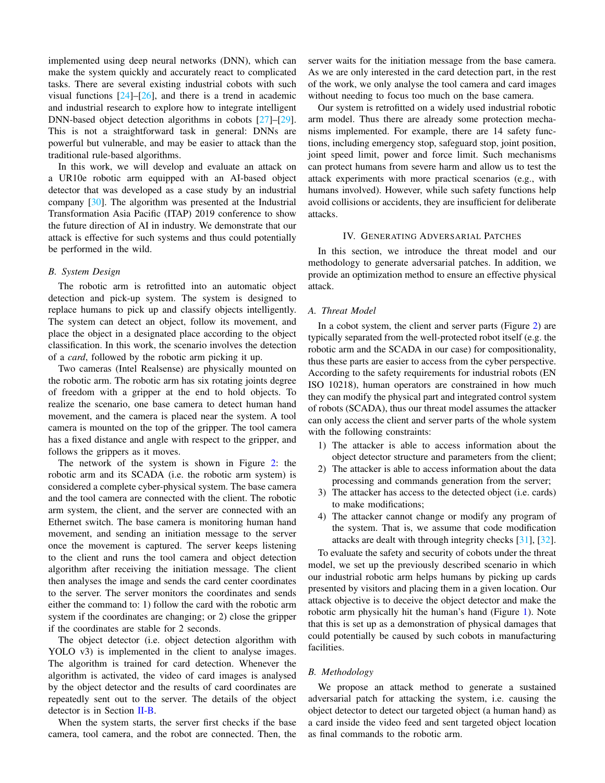implemented using deep neural networks (DNN), which can make the system quickly and accurately react to complicated tasks. There are several existing industrial cobots with such visual functions  $[24]$ – $[26]$ , and there is a trend in academic and industrial research to explore how to integrate intelligent DNN-based object detection algorithms in cobots [\[27\]](#page-7-26)–[\[29\]](#page-7-27). This is not a straightforward task in general: DNNs are powerful but vulnerable, and may be easier to attack than the traditional rule-based algorithms.

In this work, we will develop and evaluate an attack on a UR10e robotic arm equipped with an AI-based object detector that was developed as a case study by an industrial company [\[30\]](#page-7-28). The algorithm was presented at the Industrial Transformation Asia Pacific (ITAP) 2019 conference to show the future direction of AI in industry. We demonstrate that our attack is effective for such systems and thus could potentially be performed in the wild.

## *B. System Design*

The robotic arm is retrofitted into an automatic object detection and pick-up system. The system is designed to replace humans to pick up and classify objects intelligently. The system can detect an object, follow its movement, and place the object in a designated place according to the object classification. In this work, the scenario involves the detection of a *card*, followed by the robotic arm picking it up.

Two cameras (Intel Realsense) are physically mounted on the robotic arm. The robotic arm has six rotating joints degree of freedom with a gripper at the end to hold objects. To realize the scenario, one base camera to detect human hand movement, and the camera is placed near the system. A tool camera is mounted on the top of the gripper. The tool camera has a fixed distance and angle with respect to the gripper, and follows the grippers as it moves.

The network of the system is shown in Figure [2:](#page-1-1) the robotic arm and its SCADA (i.e. the robotic arm system) is considered a complete cyber-physical system. The base camera and the tool camera are connected with the client. The robotic arm system, the client, and the server are connected with an Ethernet switch. The base camera is monitoring human hand movement, and sending an initiation message to the server once the movement is captured. The server keeps listening to the client and runs the tool camera and object detection algorithm after receiving the initiation message. The client then analyses the image and sends the card center coordinates to the server. The server monitors the coordinates and sends either the command to: 1) follow the card with the robotic arm system if the coordinates are changing; or 2) close the gripper if the coordinates are stable for 2 seconds.

The object detector (i.e. object detection algorithm with YOLO v3) is implemented in the client to analyse images. The algorithm is trained for card detection. Whenever the algorithm is activated, the video of card images is analysed by the object detector and the results of card coordinates are repeatedly sent out to the server. The details of the object detector is in Section [II-B.](#page-1-2)

When the system starts, the server first checks if the base camera, tool camera, and the robot are connected. Then, the server waits for the initiation message from the base camera. As we are only interested in the card detection part, in the rest of the work, we only analyse the tool camera and card images without needing to focus too much on the base camera.

Our system is retrofitted on a widely used industrial robotic arm model. Thus there are already some protection mechanisms implemented. For example, there are 14 safety functions, including emergency stop, safeguard stop, joint position, joint speed limit, power and force limit. Such mechanisms can protect humans from severe harm and allow us to test the attack experiments with more practical scenarios (e.g., with humans involved). However, while such safety functions help avoid collisions or accidents, they are insufficient for deliberate attacks.

#### IV. GENERATING ADVERSARIAL PATCHES

<span id="page-3-0"></span>In this section, we introduce the threat model and our methodology to generate adversarial patches. In addition, we provide an optimization method to ensure an effective physical attack.

## *A. Threat Model*

In a cobot system, the client and server parts (Figure [2\)](#page-1-1) are typically separated from the well-protected robot itself (e.g. the robotic arm and the SCADA in our case) for compositionality, thus these parts are easier to access from the cyber perspective. According to the safety requirements for industrial robots (EN ISO 10218), human operators are constrained in how much they can modify the physical part and integrated control system of robots (SCADA), thus our threat model assumes the attacker can only access the client and server parts of the whole system with the following constraints:

- 1) The attacker is able to access information about the object detector structure and parameters from the client;
- 2) The attacker is able to access information about the data processing and commands generation from the server;
- 3) The attacker has access to the detected object (i.e. cards) to make modifications;
- 4) The attacker cannot change or modify any program of the system. That is, we assume that code modification attacks are dealt with through integrity checks [\[31\]](#page-7-29), [\[32\]](#page-7-30).

To evaluate the safety and security of cobots under the threat model, we set up the previously described scenario in which our industrial robotic arm helps humans by picking up cards presented by visitors and placing them in a given location. Our attack objective is to deceive the object detector and make the robotic arm physically hit the human's hand (Figure [1\)](#page-0-0). Note that this is set up as a demonstration of physical damages that could potentially be caused by such cobots in manufacturing facilities.

## <span id="page-3-1"></span>*B. Methodology*

We propose an attack method to generate a sustained adversarial patch for attacking the system, i.e. causing the object detector to detect our targeted object (a human hand) as a card inside the video feed and sent targeted object location as final commands to the robotic arm.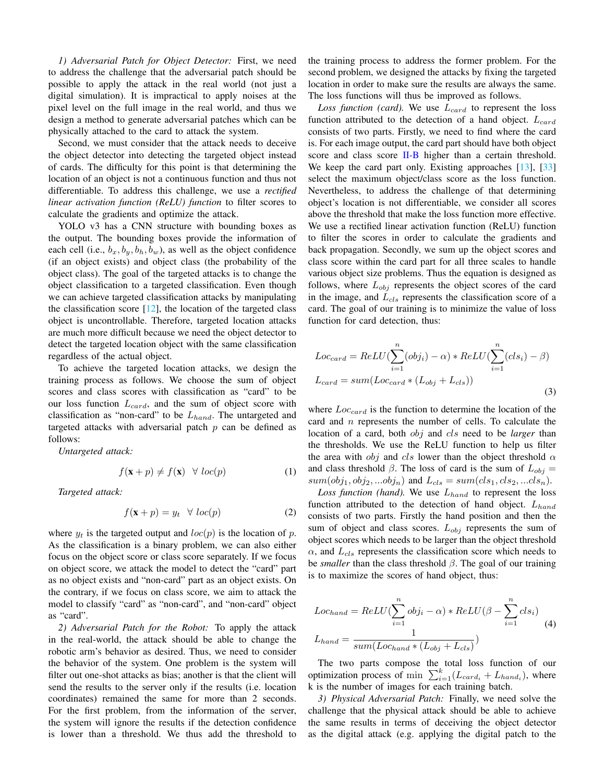*1) Adversarial Patch for Object Detector:* First, we need to address the challenge that the adversarial patch should be possible to apply the attack in the real world (not just a digital simulation). It is impractical to apply noises at the pixel level on the full image in the real world, and thus we design a method to generate adversarial patches which can be physically attached to the card to attack the system.

Second, we must consider that the attack needs to deceive the object detector into detecting the targeted object instead of cards. The difficulty for this point is that determining the location of an object is not a continuous function and thus not differentiable. To address this challenge, we use a *rectified linear activation function (ReLU) function* to filter scores to calculate the gradients and optimize the attack.

YOLO v3 has a CNN structure with bounding boxes as the output. The bounding boxes provide the information of each cell (i.e.,  $b_x$ ,  $b_y$ ,  $b_h$ ,  $b_w$ ), as well as the object confidence (if an object exists) and object class (the probability of the object class). The goal of the targeted attacks is to change the object classification to a targeted classification. Even though we can achieve targeted classification attacks by manipulating the classification score  $[12]$ , the location of the targeted class object is uncontrollable. Therefore, targeted location attacks are much more difficult because we need the object detector to detect the targeted location object with the same classification regardless of the actual object.

To achieve the targeted location attacks, we design the training process as follows. We choose the sum of object scores and class scores with classification as "card" to be our loss function  $L_{card}$ , and the sum of object score with classification as "non-card" to be  $L_{hand}$ . The untargeted and targeted attacks with adversarial patch  $p$  can be defined as follows:

*Untargeted attack:*

$$
f(\mathbf{x} + p) \neq f(\mathbf{x}) \quad \forall \ loc(p) \tag{1}
$$

*Targeted attack:*

$$
f(\mathbf{x} + p) = y_t \quad \forall \ loc(p) \tag{2}
$$

where  $y_t$  is the targeted output and  $loc(p)$  is the location of p. As the classification is a binary problem, we can also either focus on the object score or class score separately. If we focus on object score, we attack the model to detect the "card" part as no object exists and "non-card" part as an object exists. On the contrary, if we focus on class score, we aim to attack the model to classify "card" as "non-card", and "non-card" object as "card".

*2) Adversarial Patch for the Robot:* To apply the attack in the real-world, the attack should be able to change the robotic arm's behavior as desired. Thus, we need to consider the behavior of the system. One problem is the system will filter out one-shot attacks as bias; another is that the client will send the results to the server only if the results (i.e. location coordinates) remained the same for more than 2 seconds. For the first problem, from the information of the server, the system will ignore the results if the detection confidence is lower than a threshold. We thus add the threshold to the training process to address the former problem. For the second problem, we designed the attacks by fixing the targeted location in order to make sure the results are always the same. The loss functions will thus be improved as follows.

Loss function (card). We use  $L_{card}$  to represent the loss function attributed to the detection of a hand object.  $L_{card}$ consists of two parts. Firstly, we need to find where the card is. For each image output, the card part should have both object score and class score [II-B](#page-1-2) higher than a certain threshold. We keep the card part only. Existing approaches [\[13\]](#page-7-10), [\[33\]](#page-7-31) select the maximum object/class score as the loss function. Nevertheless, to address the challenge of that determining object's location is not differentiable, we consider all scores above the threshold that make the loss function more effective. We use a rectified linear activation function (ReLU) function to filter the scores in order to calculate the gradients and back propagation. Secondly, we sum up the object scores and class score within the card part for all three scales to handle various object size problems. Thus the equation is designed as follows, where  $L_{obj}$  represents the object scores of the card in the image, and  $L_{cls}$  represents the classification score of a card. The goal of our training is to minimize the value of loss function for card detection, thus:

<span id="page-4-0"></span>
$$
Loc_{card} = ReLU(\sum_{i=1}^{n} (obj_i) - \alpha) * ReLU(\sum_{i=1}^{n} (cls_i) - \beta)
$$

$$
L_{card} = sum(Loc_{card} * (L_{obj} + L_{cls}))
$$
(3)

where  $Loc_{card}$  is the function to determine the location of the card and n represents the number of cells. To calculate the location of a card, both obj and cls need to be *larger* than the thresholds. We use the ReLU function to help us filter the area with *obj* and *cls* lower than the object threshold  $\alpha$ and class threshold  $\beta$ . The loss of card is the sum of  $L_{obj} =$  $sum(obj_1, obj_2, ... obj_n)$  and  $L_{cls} = sum(cls_1, cls_2, ...cls_n)$ .

*Loss function (hand)*. We use  $L_{hand}$  to represent the loss function attributed to the detection of hand object.  $L_{hand}$ consists of two parts. Firstly the hand position and then the sum of object and class scores.  $L_{obj}$  represents the sum of object scores which needs to be larger than the object threshold  $\alpha$ , and  $L_{cls}$  represents the classification score which needs to be *smaller* than the class threshold β. The goal of our training is to maximize the scores of hand object, thus:

<span id="page-4-1"></span>
$$
Loc_{hand} = ReLU(\sum_{i=1}^{n} obj_i - \alpha) * ReLU(\beta - \sum_{i=1}^{n} cls_i)
$$
  

$$
L_{hand} = \frac{1}{sum(Loc_{hand} * (L_{obj} + L_{cls}))}
$$
 (4)

The two parts compose the total loss function of our optimization process of min  $\sum_{i=1}^{k} (L_{card_i} + L_{hand_i})$ , where k is the number of images for each training batch.

*3) Physical Adversarial Patch:* Finally, we need solve the challenge that the physical attack should be able to achieve the same results in terms of deceiving the object detector as the digital attack (e.g. applying the digital patch to the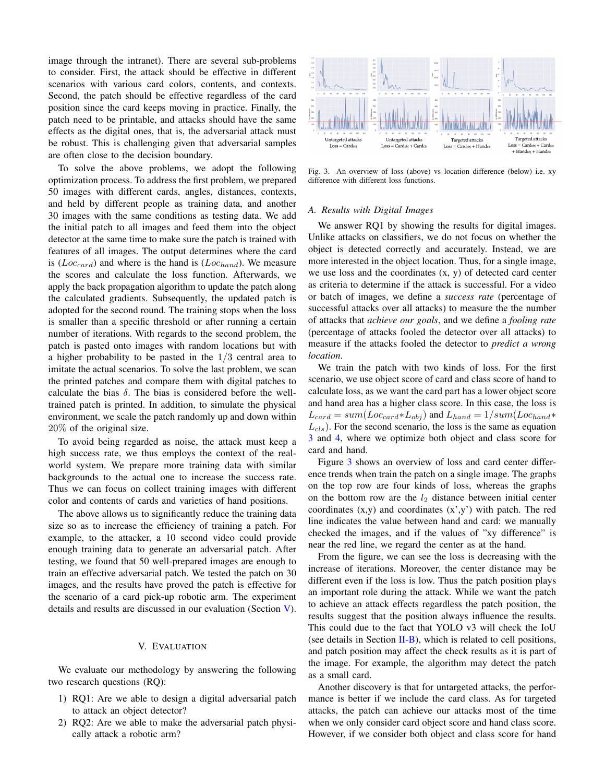image through the intranet). There are several sub-problems to consider. First, the attack should be effective in different scenarios with various card colors, contents, and contexts. Second, the patch should be effective regardless of the card position since the card keeps moving in practice. Finally, the patch need to be printable, and attacks should have the same effects as the digital ones, that is, the adversarial attack must be robust. This is challenging given that adversarial samples are often close to the decision boundary.

To solve the above problems, we adopt the following optimization process. To address the first problem, we prepared 50 images with different cards, angles, distances, contexts, and held by different people as training data, and another 30 images with the same conditions as testing data. We add the initial patch to all images and feed them into the object detector at the same time to make sure the patch is trained with features of all images. The output determines where the card is ( $Loc_{card}$ ) and where is the hand is ( $Loc_{band}$ ). We measure the scores and calculate the loss function. Afterwards, we apply the back propagation algorithm to update the patch along the calculated gradients. Subsequently, the updated patch is adopted for the second round. The training stops when the loss is smaller than a specific threshold or after running a certain number of iterations. With regards to the second problem, the patch is pasted onto images with random locations but with a higher probability to be pasted in the 1/3 central area to imitate the actual scenarios. To solve the last problem, we scan the printed patches and compare them with digital patches to calculate the bias  $\delta$ . The bias is considered before the welltrained patch is printed. In addition, to simulate the physical environment, we scale the patch randomly up and down within 20% of the original size.

To avoid being regarded as noise, the attack must keep a high success rate, we thus employs the context of the realworld system. We prepare more training data with similar backgrounds to the actual one to increase the success rate. Thus we can focus on collect training images with different color and contents of cards and varieties of hand positions.

The above allows us to significantly reduce the training data size so as to increase the efficiency of training a patch. For example, to the attacker, a 10 second video could provide enough training data to generate an adversarial patch. After testing, we found that 50 well-prepared images are enough to train an effective adversarial patch. We tested the patch on 30 images, and the results have proved the patch is effective for the scenario of a card pick-up robotic arm. The experiment details and results are discussed in our evaluation (Section [V\)](#page-5-0).

## V. EVALUATION

<span id="page-5-0"></span>We evaluate our methodology by answering the following two research questions (RQ):

- 1) RQ1: Are we able to design a digital adversarial patch to attack an object detector?
- 2) RQ2: Are we able to make the adversarial patch physically attack a robotic arm?



<span id="page-5-1"></span>Fig. 3. An overview of loss (above) vs location difference (below) i.e. xy difference with different loss functions.

## *A. Results with Digital Images*

We answer RQ1 by showing the results for digital images. Unlike attacks on classifiers, we do not focus on whether the object is detected correctly and accurately. Instead, we are more interested in the object location. Thus, for a single image, we use loss and the coordinates (x, y) of detected card center as criteria to determine if the attack is successful. For a video or batch of images, we define a *success rate* (percentage of successful attacks over all attacks) to measure the the number of attacks that *achieve our goals*, and we define a *fooling rate* (percentage of attacks fooled the detector over all attacks) to measure if the attacks fooled the detector to *predict a wrong location*.

We train the patch with two kinds of loss. For the first scenario, we use object score of card and class score of hand to calculate loss, as we want the card part has a lower object score and hand area has a higher class score. In this case, the loss is  $L_{card} = sum(Loc_{card}*L_{obj})$  and  $L_{hand} = 1/sum(Loc_{hand}*$  $L_{cls}$ ). For the second scenario, the loss is the same as equation [3](#page-4-0) and [4,](#page-4-1) where we optimize both object and class score for card and hand.

Figure [3](#page-5-1) shows an overview of loss and card center difference trends when train the patch on a single image. The graphs on the top row are four kinds of loss, whereas the graphs on the bottom row are the  $l_2$  distance between initial center coordinates  $(x,y)$  and coordinates  $(x',y')$  with patch. The red line indicates the value between hand and card: we manually checked the images, and if the values of "xy difference" is near the red line, we regard the center as at the hand.

From the figure, we can see the loss is decreasing with the increase of iterations. Moreover, the center distance may be different even if the loss is low. Thus the patch position plays an important role during the attack. While we want the patch to achieve an attack effects regardless the patch position, the results suggest that the position always influence the results. This could due to the fact that YOLO v3 will check the IoU (see details in Section [II-B\)](#page-1-2), which is related to cell positions, and patch position may affect the check results as it is part of the image. For example, the algorithm may detect the patch as a small card.

Another discovery is that for untargeted attacks, the performance is better if we include the card class. As for targeted attacks, the patch can achieve our attacks most of the time when we only consider card object score and hand class score. However, if we consider both object and class score for hand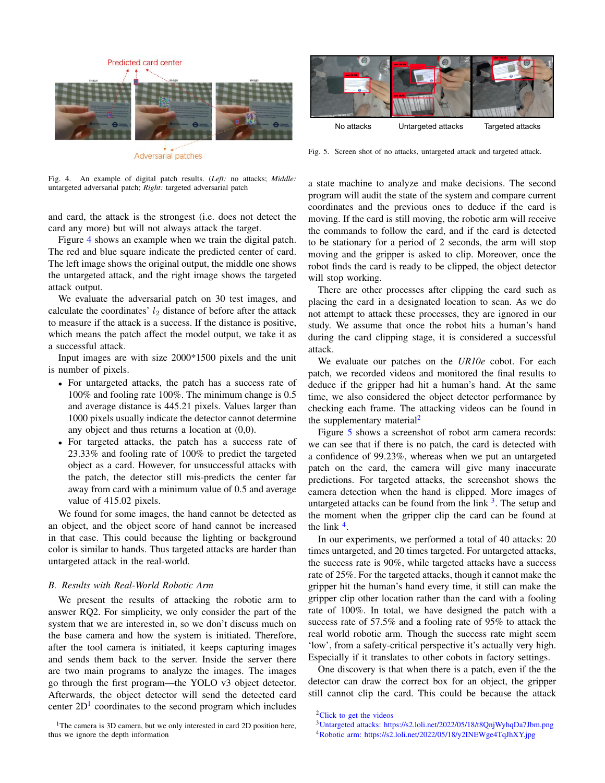

<span id="page-6-0"></span>Fig. 4. An example of digital patch results. (*Left:* no attacks; *Middle:* untargeted adversarial patch; *Right:* targeted adversarial patch

and card, the attack is the strongest (i.e. does not detect the card any more) but will not always attack the target.

Figure [4](#page-6-0) shows an example when we train the digital patch. The red and blue square indicate the predicted center of card. The left image shows the original output, the middle one shows the untargeted attack, and the right image shows the targeted attack output.

We evaluate the adversarial patch on 30 test images, and calculate the coordinates'  $l_2$  distance of before after the attack to measure if the attack is a success. If the distance is positive, which means the patch affect the model output, we take it as a successful attack.

Input images are with size 2000\*1500 pixels and the unit is number of pixels.

- For untargeted attacks, the patch has a success rate of 100% and fooling rate 100%. The minimum change is 0.5 and average distance is 445.21 pixels. Values larger than 1000 pixels usually indicate the detector cannot determine any object and thus returns a location at (0,0).
- For targeted attacks, the patch has a success rate of 23.33% and fooling rate of 100% to predict the targeted object as a card. However, for unsuccessful attacks with the patch, the detector still mis-predicts the center far away from card with a minimum value of 0.5 and average value of 415.02 pixels.

We found for some images, the hand cannot be detected as an object, and the object score of hand cannot be increased in that case. This could because the lighting or background color is similar to hands. Thus targeted attacks are harder than untargeted attack in the real-world.

## *B. Results with Real-World Robotic Arm*

We present the results of attacking the robotic arm to answer RQ2. For simplicity, we only consider the part of the system that we are interested in, so we don't discuss much on the base camera and how the system is initiated. Therefore, after the tool camera is initiated, it keeps capturing images and sends them back to the server. Inside the server there are two main programs to analyze the images. The images go through the first program—the YOLO v3 object detector. Afterwards, the object detector will send the detected card center  $2D<sup>1</sup>$  $2D<sup>1</sup>$  $2D<sup>1</sup>$  coordinates to the second program which includes



Fig. 5. Screen shot of no attacks, untargeted attack and targeted attack.

<span id="page-6-3"></span>a state machine to analyze and make decisions. The second program will audit the state of the system and compare current coordinates and the previous ones to deduce if the card is moving. If the card is still moving, the robotic arm will receive the commands to follow the card, and if the card is detected to be stationary for a period of 2 seconds, the arm will stop moving and the gripper is asked to clip. Moreover, once the robot finds the card is ready to be clipped, the object detector will stop working.

There are other processes after clipping the card such as placing the card in a designated location to scan. As we do not attempt to attack these processes, they are ignored in our study. We assume that once the robot hits a human's hand during the card clipping stage, it is considered a successful attack.

We evaluate our patches on the *UR10e* cobot. For each patch, we recorded videos and monitored the final results to deduce if the gripper had hit a human's hand. At the same time, we also considered the object detector performance by checking each frame. The attacking videos can be found in the supplementary material<sup>[2](#page-6-2)</sup>

Figure [5](#page-6-3) shows a screenshot of robot arm camera records: we can see that if there is no patch, the card is detected with a confidence of 99.23%, whereas when we put an untargeted patch on the card, the camera will give many inaccurate predictions. For targeted attacks, the screenshot shows the camera detection when the hand is clipped. More images of untargeted attacks can be found from the  $\text{link}^3$  $\text{link}^3$ . The setup and the moment when the gripper clip the card can be found at the link  $<sup>4</sup>$  $<sup>4</sup>$  $<sup>4</sup>$ .</sup>

To state of the system state is operation to the system of the system of the system state is operated at the system of the system state is the system state is the system state is the system state is the system state is th In our experiments, we performed a total of 40 attacks: 20 times untargeted, and 20 times targeted. For untargeted attacks, the success rate is 90%, while targeted attacks have a success rate of 25%. For the targeted attacks, though it cannot make the gripper hit the human's hand every time, it still can make the gripper clip other location rather than the card with a fooling rate of 100%. In total, we have designed the patch with a success rate of 57.5% and a fooling rate of 95% to attack the real world robotic arm. Though the success rate might seem 'low', from a safety-critical perspective it's actually very high. Especially if it translates to other cobots in factory settings.

One discovery is that when there is a patch, even if the the detector can draw the correct box for an object, the gripper still cannot clip the card. This could be because the attack

<span id="page-6-1"></span><sup>&</sup>lt;sup>1</sup>The camera is 3D camera, but we only interested in card 2D position here,

<span id="page-6-2"></span><sup>2</sup>[Click to get the videos](https://youtube.com/playlist?list=PL63JcfSD1WENrcWYf1p88XG9vF0F7OHRZ)

<span id="page-6-5"></span><span id="page-6-4"></span><sup>3</sup>[Untargeted attacks: https://s2.loli.net/2022/05/18/t8QnjWyhqDa7Jbm.png](https://s2.loli.net/2022/05/18/t8QnjWyhqDa7Jbm.png) <sup>4</sup>[Robotic arm: https://s2.loli.net/2022/05/18/y2INEWge4TqJhXY.jpg](https://s2.loli.net/2022/05/18/y2INEWge4TqJhXY.jpg)